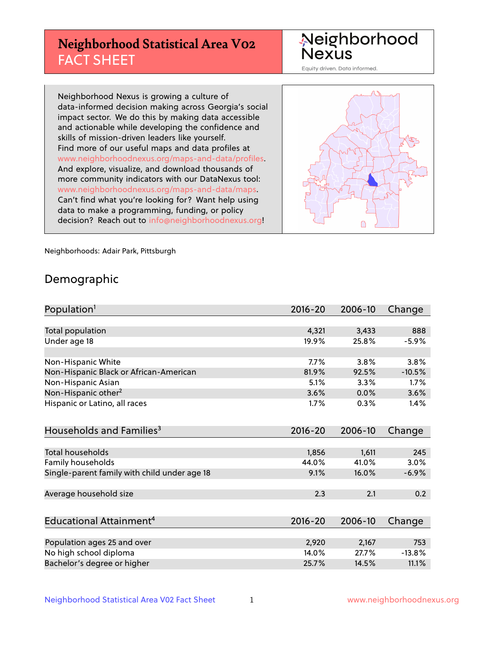# **Neighborhood Statistical Area V02** FACT SHEET

Neighborhood Nexus

Equity driven. Data informed.

Neighborhood Nexus is growing a culture of data-informed decision making across Georgia's social impact sector. We do this by making data accessible and actionable while developing the confidence and skills of mission-driven leaders like yourself. Find more of our useful maps and data profiles at www.neighborhoodnexus.org/maps-and-data/profiles. And explore, visualize, and download thousands of more community indicators with our DataNexus tool: www.neighborhoodnexus.org/maps-and-data/maps. Can't find what you're looking for? Want help using data to make a programming, funding, or policy decision? Reach out to [info@neighborhoodnexus.org!](mailto:info@neighborhoodnexus.org)



Neighborhoods: Adair Park, Pittsburgh

### Demographic

| Population <sup>1</sup>                      | $2016 - 20$ | 2006-10 | Change   |
|----------------------------------------------|-------------|---------|----------|
|                                              |             |         |          |
| Total population                             | 4,321       | 3,433   | 888      |
| Under age 18                                 | 19.9%       | 25.8%   | $-5.9%$  |
|                                              |             |         |          |
| Non-Hispanic White                           | 7.7%        | 3.8%    | 3.8%     |
| Non-Hispanic Black or African-American       | 81.9%       | 92.5%   | $-10.5%$ |
| Non-Hispanic Asian                           | 5.1%        | 3.3%    | 1.7%     |
| Non-Hispanic other <sup>2</sup>              | 3.6%        | 0.0%    | 3.6%     |
| Hispanic or Latino, all races                | 1.7%        | 0.3%    | 1.4%     |
|                                              |             |         |          |
| Households and Families <sup>3</sup>         | $2016 - 20$ | 2006-10 | Change   |
|                                              |             |         |          |
| <b>Total households</b>                      | 1,856       | 1,611   | 245      |
| Family households                            | 44.0%       | 41.0%   | 3.0%     |
| Single-parent family with child under age 18 | 9.1%        | 16.0%   | $-6.9%$  |
|                                              |             |         |          |
| Average household size                       | 2.3         | 2.1     | 0.2      |
|                                              |             |         |          |
| Educational Attainment <sup>4</sup>          | $2016 - 20$ | 2006-10 | Change   |
|                                              |             |         |          |
| Population ages 25 and over                  | 2,920       | 2,167   | 753      |
| No high school diploma                       | 14.0%       | 27.7%   | $-13.8%$ |
| Bachelor's degree or higher                  | 25.7%       | 14.5%   | 11.1%    |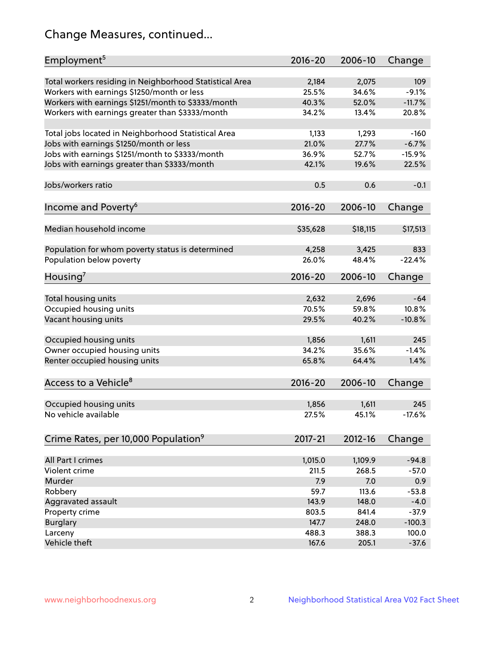# Change Measures, continued...

| Employment <sup>5</sup>                                 | $2016 - 20$      | 2006-10          | Change   |
|---------------------------------------------------------|------------------|------------------|----------|
| Total workers residing in Neighborhood Statistical Area | 2,184            | 2,075            | 109      |
| Workers with earnings \$1250/month or less              | 25.5%            | 34.6%            | $-9.1%$  |
| Workers with earnings \$1251/month to \$3333/month      | 40.3%            | 52.0%            | $-11.7%$ |
| Workers with earnings greater than \$3333/month         | 34.2%            | 13.4%            | 20.8%    |
|                                                         |                  |                  |          |
| Total jobs located in Neighborhood Statistical Area     | 1,133            | 1,293            | $-160$   |
| Jobs with earnings \$1250/month or less                 | 21.0%            | 27.7%            | $-6.7%$  |
| Jobs with earnings \$1251/month to \$3333/month         | 36.9%            | 52.7%            | $-15.9%$ |
| Jobs with earnings greater than \$3333/month            | 42.1%            | 19.6%            | 22.5%    |
|                                                         |                  |                  |          |
| Jobs/workers ratio                                      | 0.5              | 0.6              | $-0.1$   |
|                                                         |                  |                  |          |
| Income and Poverty <sup>6</sup>                         | 2016-20          | 2006-10          | Change   |
|                                                         |                  |                  |          |
| Median household income                                 | \$35,628         | \$18,115         | \$17,513 |
|                                                         |                  |                  |          |
| Population for whom poverty status is determined        | 4,258            | 3,425            | 833      |
| Population below poverty                                | 26.0%            | 48.4%            | $-22.4%$ |
|                                                         |                  |                  |          |
| Housing <sup>7</sup>                                    | 2016-20          | 2006-10          | Change   |
|                                                         |                  |                  |          |
| Total housing units                                     | 2,632            | 2,696            | $-64$    |
| Occupied housing units                                  | 70.5%            | 59.8%            | 10.8%    |
| Vacant housing units                                    | 29.5%            | 40.2%            | $-10.8%$ |
|                                                         |                  |                  |          |
| Occupied housing units                                  | 1,856            | 1,611            | 245      |
| Owner occupied housing units                            | 34.2%            | 35.6%            | $-1.4%$  |
| Renter occupied housing units                           | 65.8%            | 64.4%            | 1.4%     |
|                                                         |                  |                  |          |
| Access to a Vehicle <sup>8</sup>                        | $2016 - 20$      | 2006-10          | Change   |
|                                                         |                  |                  |          |
| Occupied housing units                                  | 1,856            | 1,611            | 245      |
| No vehicle available                                    | 27.5%            | 45.1%            | $-17.6%$ |
|                                                         |                  |                  |          |
| Crime Rates, per 10,000 Population <sup>9</sup>         | 2017-21          | 2012-16          | Change   |
|                                                         |                  |                  |          |
| All Part I crimes                                       |                  |                  | $-94.8$  |
| Violent crime                                           | 1,015.0<br>211.5 | 1,109.9<br>268.5 | $-57.0$  |
| Murder                                                  |                  |                  |          |
|                                                         | 7.9              | 7.0<br>113.6     | 0.9      |
| Robbery                                                 | 59.7             |                  | $-53.8$  |
| Aggravated assault                                      | 143.9            | 148.0            | $-4.0$   |
| Property crime                                          | 803.5            | 841.4            | $-37.9$  |
| <b>Burglary</b>                                         | 147.7            | 248.0            | $-100.3$ |
| Larceny                                                 | 488.3            | 388.3            | 100.0    |
| Vehicle theft                                           | 167.6            | 205.1            | $-37.6$  |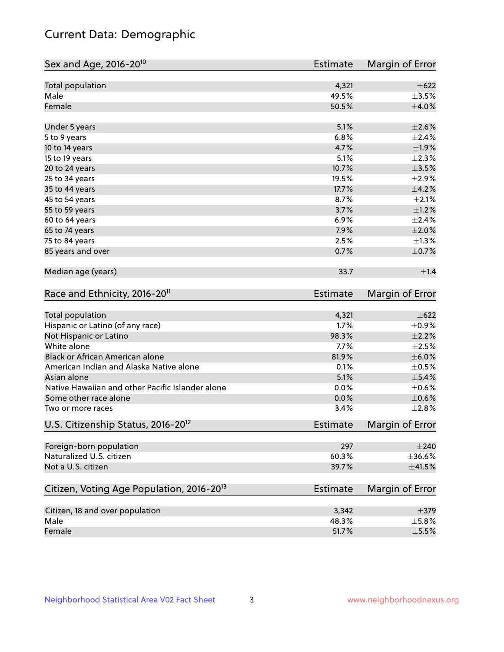# Current Data: Demographic

| Sex and Age, 2016-20 <sup>10</sup>                    | <b>Estimate</b> | Margin of Error |
|-------------------------------------------------------|-----------------|-----------------|
| Total population                                      | 4,321           | $\pm$ 622       |
| Male                                                  | 49.5%           | $\pm 3.5\%$     |
| Female                                                | 50.5%           | ±4.0%           |
| Under 5 years                                         | 5.1%            | $\pm 2.6\%$     |
| 5 to 9 years                                          | 6.8%            | ±2.4%           |
| 10 to 14 years                                        | 4.7%            | ±1.9%           |
| 15 to 19 years                                        | 5.1%            | $\pm 2.3\%$     |
| 20 to 24 years                                        | 10.7%           | $\pm$ 3.5%      |
| 25 to 34 years                                        | 19.5%           | ±2.9%           |
| 35 to 44 years                                        | 17.7%           | $\pm 4.2\%$     |
| 45 to 54 years                                        | 8.7%            | $\pm 2.1\%$     |
| 55 to 59 years                                        | 3.7%            | $\pm 1.2\%$     |
| 60 to 64 years                                        | 6.9%            | ±2.4%           |
| 65 to 74 years                                        | 7.9%            | $\pm 2.0\%$     |
| 75 to 84 years                                        | 2.5%            | $\pm 1.3\%$     |
| 85 years and over                                     | 0.7%            | $\pm$ 0.7%      |
| Median age (years)                                    | 33.7            | $\pm 1.4$       |
| Race and Ethnicity, 2016-20 <sup>11</sup>             | <b>Estimate</b> | Margin of Error |
| Total population                                      | 4,321           | $\pm 622$       |
| Hispanic or Latino (of any race)                      | 1.7%            | $\pm$ 0.9%      |
| Not Hispanic or Latino                                | 98.3%           | $\pm 2.2\%$     |
| White alone                                           | 7.7%            | $\pm 2.5\%$     |
| Black or African American alone                       | 81.9%           | $\pm$ 6.0%      |
| American Indian and Alaska Native alone               | 0.1%            | $\pm$ 0.5%      |
| Asian alone                                           | 5.1%            | $\pm$ 5.4%      |
| Native Hawaiian and other Pacific Islander alone      | 0.0%            | $\pm$ 0.6%      |
| Some other race alone                                 | 0.0%            | $\pm$ 0.6%      |
| Two or more races                                     | 3.4%            | ±2.8%           |
| U.S. Citizenship Status, 2016-20 <sup>12</sup>        | <b>Estimate</b> | Margin of Error |
| Foreign-born population                               | 297             | $\pm 240$       |
| Naturalized U.S. citizen                              | 60.3%           | $\pm$ 36.6%     |
| Not a U.S. citizen                                    | 39.7%           | $\pm$ 41.5%     |
| Citizen, Voting Age Population, 2016-20 <sup>13</sup> | Estimate        | Margin of Error |
| Citizen, 18 and over population                       | 3,342           | $\pm$ 379       |
| Male                                                  | 48.3%           | $\pm$ 5.8%      |
| Female                                                | 51.7%           | $\pm$ 5.5%      |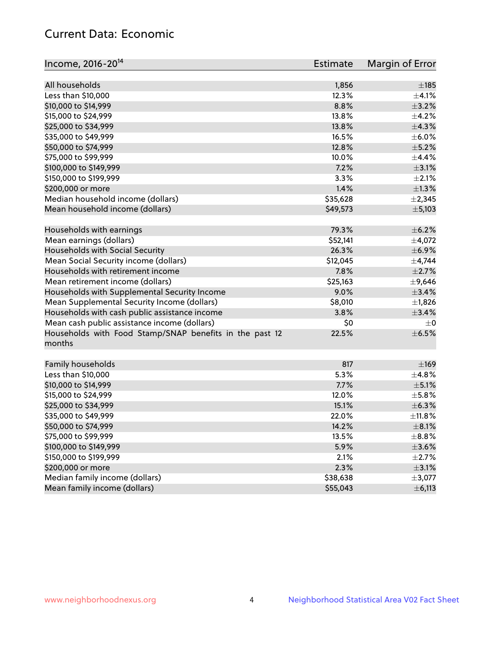# Current Data: Economic

| Income, 2016-20 <sup>14</sup>                                     | Estimate | Margin of Error |
|-------------------------------------------------------------------|----------|-----------------|
| All households                                                    | 1,856    | $\pm$ 185       |
| Less than \$10,000                                                | 12.3%    | $\pm$ 4.1%      |
| \$10,000 to \$14,999                                              | 8.8%     | $\pm$ 3.2%      |
| \$15,000 to \$24,999                                              | 13.8%    | $\pm$ 4.2%      |
| \$25,000 to \$34,999                                              | 13.8%    | $\pm$ 4.3%      |
| \$35,000 to \$49,999                                              | 16.5%    | $\pm$ 6.0%      |
| \$50,000 to \$74,999                                              | 12.8%    | $\pm$ 5.2%      |
| \$75,000 to \$99,999                                              | 10.0%    | ±4.4%           |
| \$100,000 to \$149,999                                            | 7.2%     | $\pm$ 3.1%      |
|                                                                   | 3.3%     | $\pm 2.1\%$     |
| \$150,000 to \$199,999                                            | 1.4%     | $\pm 1.3\%$     |
| \$200,000 or more                                                 |          |                 |
| Median household income (dollars)                                 | \$35,628 | $\pm 2,345$     |
| Mean household income (dollars)                                   | \$49,573 | ±5,103          |
| Households with earnings                                          | 79.3%    | $\pm$ 6.2%      |
| Mean earnings (dollars)                                           | \$52,141 | $\pm$ 4,072     |
| Households with Social Security                                   | 26.3%    | $\pm$ 6.9%      |
| Mean Social Security income (dollars)                             | \$12,045 | $\pm$ 4,744     |
| Households with retirement income                                 | 7.8%     | $\pm 2.7\%$     |
| Mean retirement income (dollars)                                  | \$25,163 | $\pm$ 9,646     |
| Households with Supplemental Security Income                      | 9.0%     | $\pm$ 3.4%      |
| Mean Supplemental Security Income (dollars)                       | \$8,010  | $\pm$ 1,826     |
| Households with cash public assistance income                     | 3.8%     | ±3.4%           |
| Mean cash public assistance income (dollars)                      | \$0      | $\pm 0$         |
| Households with Food Stamp/SNAP benefits in the past 12<br>months | 22.5%    | $\pm$ 6.5%      |
| Family households                                                 | 817      | $\pm$ 169       |
| Less than \$10,000                                                | 5.3%     | $\pm$ 4.8%      |
| \$10,000 to \$14,999                                              | 7.7%     | $\pm$ 5.1%      |
| \$15,000 to \$24,999                                              | 12.0%    | $\pm$ 5.8%      |
| \$25,000 to \$34,999                                              | 15.1%    | $\pm$ 6.3%      |
| \$35,000 to \$49,999                                              | 22.0%    | ±11.8%          |
| \$50,000 to \$74,999                                              | 14.2%    | $\pm$ 8.1%      |
| \$75,000 to \$99,999                                              | 13.5%    | $\pm$ 8.8%      |
| \$100,000 to \$149,999                                            | 5.9%     | $\pm$ 3.6%      |
| \$150,000 to \$199,999                                            | 2.1%     | $\pm$ 2.7%      |
| \$200,000 or more                                                 | 2.3%     | $\pm$ 3.1%      |
| Median family income (dollars)                                    | \$38,638 | $\pm$ 3,077     |
| Mean family income (dollars)                                      | \$55,043 | $\pm$ 6,113     |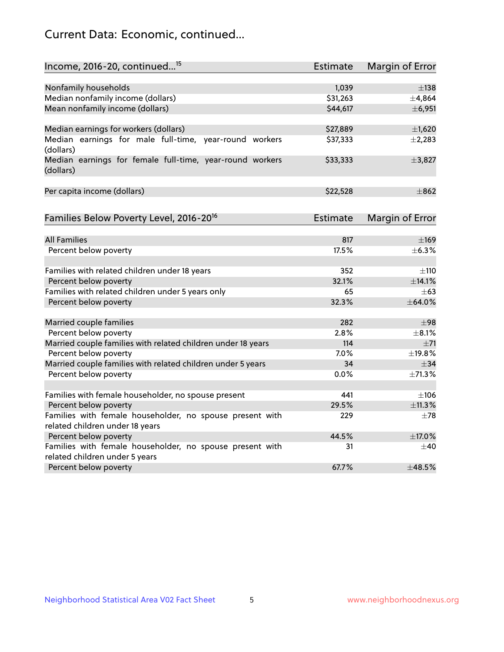# Current Data: Economic, continued...

| Income, 2016-20, continued <sup>15</sup>                                                    | <b>Estimate</b> | <b>Margin of Error</b> |
|---------------------------------------------------------------------------------------------|-----------------|------------------------|
|                                                                                             |                 |                        |
| Nonfamily households                                                                        | 1,039           | $\pm$ 138              |
| Median nonfamily income (dollars)                                                           | \$31,263        | ±4,864                 |
| Mean nonfamily income (dollars)                                                             | \$44,617        | ±6,951                 |
| Median earnings for workers (dollars)                                                       | \$27,889        | $\pm$ 1,620            |
| Median earnings for male full-time, year-round workers<br>(dollars)                         | \$37,333        | ±2,283                 |
| Median earnings for female full-time, year-round workers<br>(dollars)                       | \$33,333        | ±3,827                 |
| Per capita income (dollars)                                                                 | \$22,528        | $\pm$ 862              |
| Families Below Poverty Level, 2016-20 <sup>16</sup>                                         | <b>Estimate</b> | <b>Margin of Error</b> |
|                                                                                             |                 |                        |
| <b>All Families</b>                                                                         | 817             | $\pm$ 169              |
| Percent below poverty                                                                       | 17.5%           | $\pm$ 6.3%             |
| Families with related children under 18 years                                               | 352             | ±110                   |
| Percent below poverty                                                                       | 32.1%           | ±14.1%                 |
| Families with related children under 5 years only                                           | 65              | $+63$                  |
| Percent below poverty                                                                       | 32.3%           | ±64.0%                 |
| Married couple families                                                                     | 282             | ±98                    |
| Percent below poverty                                                                       | 2.8%            | $+8.1%$                |
| Married couple families with related children under 18 years                                | 114             | $\pm$ 71               |
| Percent below poverty                                                                       | 7.0%            | ±19.8%                 |
| Married couple families with related children under 5 years                                 | 34              | $\pm$ 34               |
| Percent below poverty                                                                       | $0.0\%$         | ±71.3%                 |
|                                                                                             |                 |                        |
| Families with female householder, no spouse present                                         | 441             | $\pm 106$              |
| Percent below poverty                                                                       | 29.5%           | ±11.3%                 |
| Families with female householder, no spouse present with<br>related children under 18 years | 229             | $\pm$ 78               |
| Percent below poverty                                                                       | 44.5%           | ±17.0%                 |
|                                                                                             |                 |                        |
| Families with female householder, no spouse present with<br>related children under 5 years  | 31              | $\pm 40$               |
| Percent below poverty                                                                       | 67.7%           | ±48.5%                 |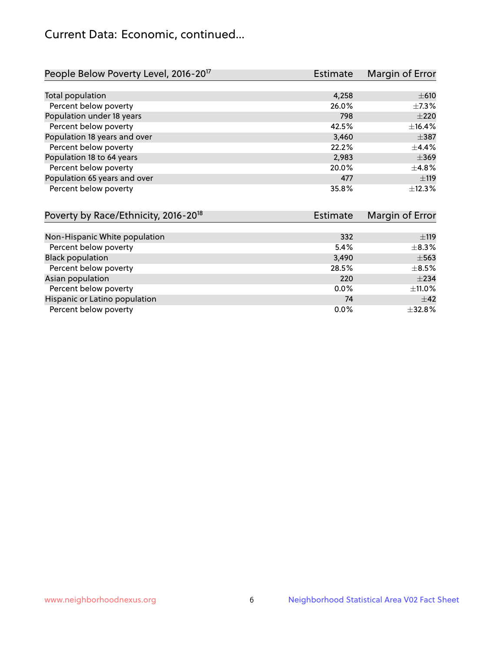# Current Data: Economic, continued...

| People Below Poverty Level, 2016-20 <sup>17</sup> | <b>Estimate</b> | Margin of Error |
|---------------------------------------------------|-----------------|-----------------|
|                                                   |                 |                 |
| Total population                                  | 4,258           | $\pm 610$       |
| Percent below poverty                             | 26.0%           | $\pm$ 7.3%      |
| Population under 18 years                         | 798             | $\pm 220$       |
| Percent below poverty                             | 42.5%           | ±16.4%          |
| Population 18 years and over                      | 3,460           | $\pm$ 387       |
| Percent below poverty                             | 22.2%           | $+4.4%$         |
| Population 18 to 64 years                         | 2,983           | $\pm$ 369       |
| Percent below poverty                             | 20.0%           | ±4.8%           |
| Population 65 years and over                      | 477             | ±119            |
| Percent below poverty                             | 35.8%           | $+12.3%$        |

| Poverty by Race/Ethnicity, 2016-20 <sup>18</sup> | <b>Estimate</b> | Margin of Error |
|--------------------------------------------------|-----------------|-----------------|
|                                                  |                 |                 |
| Non-Hispanic White population                    | 332             | ±119            |
| Percent below poverty                            | 5.4%            | $\pm$ 8.3%      |
| <b>Black population</b>                          | 3,490           | $\pm$ 563       |
| Percent below poverty                            | 28.5%           | $\pm$ 8.5%      |
| Asian population                                 | 220             | $\pm 234$       |
| Percent below poverty                            | $0.0\%$         | ±11.0%          |
| Hispanic or Latino population                    | 74              | $\pm$ 42        |
| Percent below poverty                            | $0.0\%$         | ±32.8%          |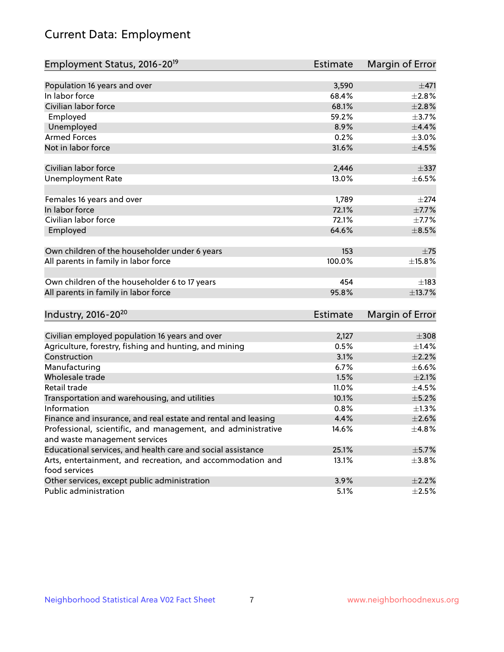# Current Data: Employment

| Employment Status, 2016-20 <sup>19</sup>                      | <b>Estimate</b> | Margin of Error |
|---------------------------------------------------------------|-----------------|-----------------|
|                                                               |                 |                 |
| Population 16 years and over                                  | 3,590           | ±471            |
| In labor force                                                | 68.4%           | $\pm 2.8\%$     |
| Civilian labor force                                          | 68.1%           | $\pm 2.8\%$     |
| Employed                                                      | 59.2%           | $\pm$ 3.7%      |
| Unemployed                                                    | 8.9%            | $\pm$ 4.4%      |
| <b>Armed Forces</b>                                           | 0.2%            | $\pm 3.0\%$     |
| Not in labor force                                            | 31.6%           | $\pm$ 4.5%      |
|                                                               |                 |                 |
| Civilian labor force                                          | 2,446           | $\pm$ 337       |
| <b>Unemployment Rate</b>                                      | 13.0%           | $\pm$ 6.5%      |
| Females 16 years and over                                     | 1,789           | $\pm 274$       |
| In labor force                                                | 72.1%           | $\pm$ 7.7%      |
| Civilian labor force                                          | 72.1%           | $\pm$ 7.7%      |
| Employed                                                      | 64.6%           | $\pm$ 8.5%      |
|                                                               |                 |                 |
| Own children of the householder under 6 years                 | 153             | $\pm 75$        |
| All parents in family in labor force                          | 100.0%          | $\pm$ 15.8%     |
|                                                               |                 |                 |
| Own children of the householder 6 to 17 years                 | 454             | $\pm$ 183       |
| All parents in family in labor force                          | 95.8%           | ±13.7%          |
|                                                               |                 |                 |
| Industry, 2016-20 <sup>20</sup>                               | Estimate        | Margin of Error |
|                                                               |                 |                 |
| Civilian employed population 16 years and over                | 2,127           | $\pm 308$       |
| Agriculture, forestry, fishing and hunting, and mining        | 0.5%            | $\pm$ 1.4%      |
| Construction                                                  | 3.1%            | $\pm 2.2\%$     |
| Manufacturing                                                 | 6.7%            | $\pm$ 6.6%      |
| Wholesale trade                                               | 1.5%            | $\pm 2.1\%$     |
| Retail trade                                                  | 11.0%           | $\pm$ 4.5%      |
| Transportation and warehousing, and utilities                 | 10.1%           | $\pm$ 5.2%      |
| Information                                                   | 0.8%            | $\pm 1.3\%$     |
| Finance and insurance, and real estate and rental and leasing | 4.4%            | $\pm 2.6\%$     |
| Professional, scientific, and management, and administrative  | 14.6%           | ±4.8%           |
| and waste management services                                 |                 |                 |
| Educational services, and health care and social assistance   | 25.1%           | $\pm$ 5.7%      |
| Arts, entertainment, and recreation, and accommodation and    | 13.1%           | $\pm 3.8\%$     |
| food services                                                 |                 |                 |
| Other services, except public administration                  | 3.9%            | $\pm 2.2\%$     |
| Public administration                                         | 5.1%            | $\pm 2.5\%$     |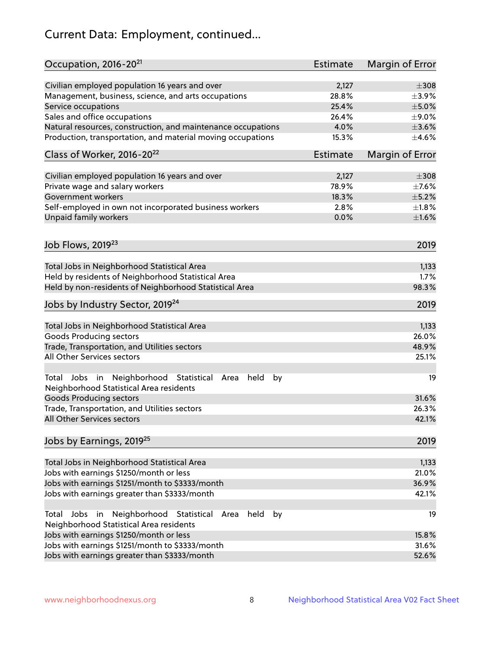# Current Data: Employment, continued...

| Occupation, 2016-20 <sup>21</sup>                                                                                | <b>Estimate</b> | Margin of Error |
|------------------------------------------------------------------------------------------------------------------|-----------------|-----------------|
| Civilian employed population 16 years and over                                                                   | 2,127           | $\pm 308$       |
| Management, business, science, and arts occupations                                                              | 28.8%           | $\pm$ 3.9%      |
| Service occupations                                                                                              | 25.4%           | $\pm$ 5.0%      |
| Sales and office occupations                                                                                     | 26.4%           | ±9.0%           |
| Natural resources, construction, and maintenance occupations                                                     | 4.0%            | $\pm 3.6\%$     |
| Production, transportation, and material moving occupations                                                      | 15.3%           | $\pm 4.6\%$     |
| Class of Worker, 2016-20 <sup>22</sup>                                                                           | Estimate        | Margin of Error |
| Civilian employed population 16 years and over                                                                   | 2,127           | $\pm 308$       |
| Private wage and salary workers                                                                                  | 78.9%           | $\pm$ 7.6%      |
| Government workers                                                                                               | 18.3%           | $\pm$ 5.2%      |
| Self-employed in own not incorporated business workers                                                           | 2.8%            | $\pm1.8\%$      |
| Unpaid family workers                                                                                            | 0.0%            | $\pm 1.6\%$     |
|                                                                                                                  |                 |                 |
| Job Flows, 2019 <sup>23</sup>                                                                                    |                 | 2019            |
| Total Jobs in Neighborhood Statistical Area                                                                      |                 | 1,133           |
| Held by residents of Neighborhood Statistical Area                                                               |                 | 1.7%            |
| Held by non-residents of Neighborhood Statistical Area                                                           |                 | 98.3%           |
|                                                                                                                  |                 |                 |
| Jobs by Industry Sector, 2019 <sup>24</sup>                                                                      |                 | 2019            |
| Total Jobs in Neighborhood Statistical Area                                                                      |                 | 1,133           |
| <b>Goods Producing sectors</b>                                                                                   |                 | 26.0%           |
| Trade, Transportation, and Utilities sectors                                                                     |                 | 48.9%           |
| All Other Services sectors                                                                                       |                 | 25.1%           |
| Total Jobs in Neighborhood Statistical<br>held<br>by<br>Area<br>Neighborhood Statistical Area residents          |                 | 19              |
| <b>Goods Producing sectors</b>                                                                                   |                 | 31.6%           |
| Trade, Transportation, and Utilities sectors                                                                     |                 | 26.3%           |
| All Other Services sectors                                                                                       |                 | 42.1%           |
| Jobs by Earnings, 2019 <sup>25</sup>                                                                             |                 | 2019            |
| Total Jobs in Neighborhood Statistical Area                                                                      |                 | 1,133           |
| Jobs with earnings \$1250/month or less                                                                          |                 | 21.0%           |
| Jobs with earnings \$1251/month to \$3333/month                                                                  |                 | 36.9%           |
| Jobs with earnings greater than \$3333/month                                                                     |                 | 42.1%           |
| Neighborhood Statistical<br>Jobs<br>in<br>held<br>by<br>Total<br>Area<br>Neighborhood Statistical Area residents |                 | 19              |
| Jobs with earnings \$1250/month or less                                                                          |                 | 15.8%           |
| Jobs with earnings \$1251/month to \$3333/month                                                                  |                 | 31.6%           |
| Jobs with earnings greater than \$3333/month                                                                     |                 | 52.6%           |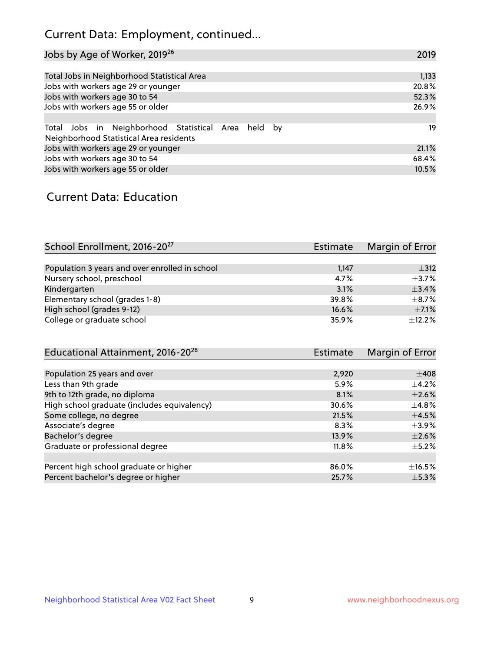# Current Data: Employment, continued...

| Jobs by Age of Worker, 2019 <sup>26</sup>                                                      | 2019  |
|------------------------------------------------------------------------------------------------|-------|
|                                                                                                |       |
| Total Jobs in Neighborhood Statistical Area                                                    | 1,133 |
| Jobs with workers age 29 or younger                                                            | 20.8% |
| Jobs with workers age 30 to 54                                                                 | 52.3% |
| Jobs with workers age 55 or older                                                              | 26.9% |
|                                                                                                |       |
| Total Jobs in Neighborhood Statistical Area held by<br>Neighborhood Statistical Area residents | 19    |
| Jobs with workers age 29 or younger                                                            | 21.1% |
| Jobs with workers age 30 to 54                                                                 | 68.4% |
| Jobs with workers age 55 or older                                                              | 10.5% |

### Current Data: Education

| School Enrollment, 2016-20 <sup>27</sup>       | <b>Estimate</b> | Margin of Error |
|------------------------------------------------|-----------------|-----------------|
|                                                |                 |                 |
| Population 3 years and over enrolled in school | 1,147           | $\pm$ 312       |
| Nursery school, preschool                      | 4.7%            | $+3.7%$         |
| Kindergarten                                   | 3.1%            | $\pm$ 3.4%      |
| Elementary school (grades 1-8)                 | 39.8%           | $\pm$ 8.7%      |
| High school (grades 9-12)                      | 16.6%           | $\pm$ 7.1%      |
| College or graduate school                     | 35.9%           | $+12.2%$        |

| Educational Attainment, 2016-20 <sup>28</sup> | <b>Estimate</b> | Margin of Error |
|-----------------------------------------------|-----------------|-----------------|
|                                               |                 |                 |
| Population 25 years and over                  | 2,920           | $\pm 408$       |
| Less than 9th grade                           | 5.9%            | $\pm$ 4.2%      |
| 9th to 12th grade, no diploma                 | 8.1%            | $\pm 2.6\%$     |
| High school graduate (includes equivalency)   | 30.6%           | $\pm$ 4.8%      |
| Some college, no degree                       | 21.5%           | $\pm$ 4.5%      |
| Associate's degree                            | 8.3%            | $\pm$ 3.9%      |
| Bachelor's degree                             | 13.9%           | $\pm 2.6\%$     |
| Graduate or professional degree               | 11.8%           | $+5.2%$         |
|                                               |                 |                 |
| Percent high school graduate or higher        | 86.0%           | $\pm$ 16.5%     |
| Percent bachelor's degree or higher           | 25.7%           | $\pm$ 5.3%      |
|                                               |                 |                 |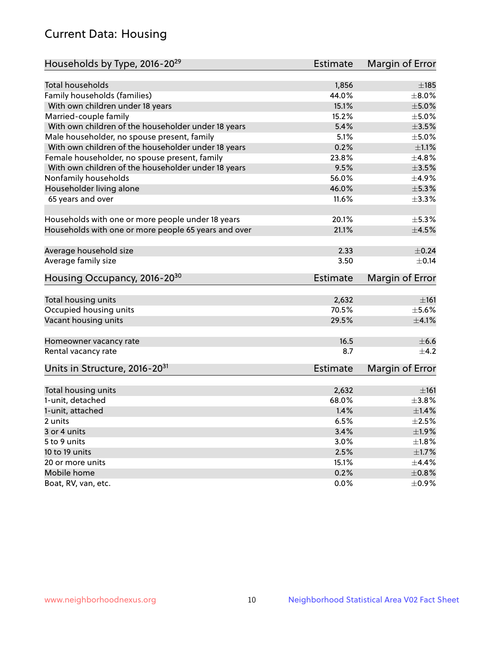# Current Data: Housing

| Households by Type, 2016-20 <sup>29</sup>            | <b>Estimate</b> | Margin of Error |
|------------------------------------------------------|-----------------|-----------------|
|                                                      |                 |                 |
| Total households                                     | 1,856           | $\pm$ 185       |
| Family households (families)                         | 44.0%           | $\pm$ 8.0%      |
| With own children under 18 years                     | 15.1%           | $\pm$ 5.0%      |
| Married-couple family                                | 15.2%           | $\pm$ 5.0%      |
| With own children of the householder under 18 years  | 5.4%            | $\pm 3.5\%$     |
| Male householder, no spouse present, family          | 5.1%            | $\pm$ 5.0%      |
| With own children of the householder under 18 years  | 0.2%            | $\pm 1.1\%$     |
| Female householder, no spouse present, family        | 23.8%           | ±4.8%           |
| With own children of the householder under 18 years  | 9.5%            | $\pm 3.5\%$     |
| Nonfamily households                                 | 56.0%           | $\pm$ 4.9%      |
| Householder living alone                             | 46.0%           | $\pm$ 5.3%      |
| 65 years and over                                    | 11.6%           | $\pm$ 3.3%      |
|                                                      |                 |                 |
| Households with one or more people under 18 years    | 20.1%           | $\pm$ 5.3%      |
| Households with one or more people 65 years and over | 21.1%           | $\pm 4.5\%$     |
| Average household size                               | 2.33            | $\pm$ 0.24      |
| Average family size                                  | 3.50            | $+0.14$         |
|                                                      |                 |                 |
| Housing Occupancy, 2016-20 <sup>30</sup>             | <b>Estimate</b> | Margin of Error |
| Total housing units                                  | 2,632           | $\pm 161$       |
| Occupied housing units                               | 70.5%           | $\pm$ 5.6%      |
| Vacant housing units                                 | 29.5%           | $\pm 4.1\%$     |
|                                                      |                 |                 |
| Homeowner vacancy rate                               | 16.5            | $\pm$ 6.6       |
| Rental vacancy rate                                  | 8.7             | $+4.2$          |
| Units in Structure, 2016-20 <sup>31</sup>            | Estimate        | Margin of Error |
|                                                      |                 |                 |
| Total housing units                                  | 2,632           | ±161            |
| 1-unit, detached                                     | 68.0%           | $\pm$ 3.8%      |
| 1-unit, attached                                     | 1.4%            | $\pm1.4\%$      |
| 2 units                                              | 6.5%            | $\pm 2.5\%$     |
| 3 or 4 units                                         | 3.4%            | ±1.9%           |
| 5 to 9 units                                         | 3.0%            | $\pm 1.8\%$     |
| 10 to 19 units                                       | 2.5%            | $\pm 1.7\%$     |
| 20 or more units                                     | 15.1%           | $\pm$ 4.4%      |
| Mobile home                                          | 0.2%            | $\pm$ 0.8%      |
| Boat, RV, van, etc.                                  | $0.0\%$         | $\pm$ 0.9%      |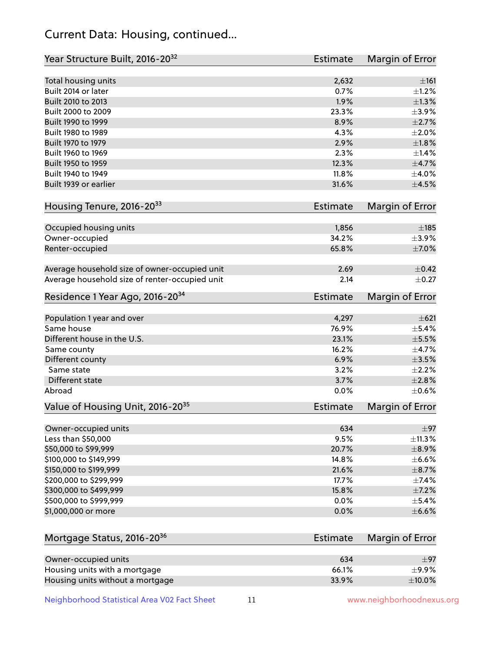# Current Data: Housing, continued...

| Year Structure Built, 2016-20 <sup>32</sup>    | <b>Estimate</b> | Margin of Error |
|------------------------------------------------|-----------------|-----------------|
| Total housing units                            | 2,632           | ±161            |
| Built 2014 or later                            | 0.7%            | $\pm 1.2\%$     |
| Built 2010 to 2013                             | 1.9%            | $\pm 1.3\%$     |
| Built 2000 to 2009                             | 23.3%           | $\pm$ 3.9%      |
| Built 1990 to 1999                             | 8.9%            | $\pm 2.7\%$     |
| Built 1980 to 1989                             | 4.3%            | ±2.0%           |
| Built 1970 to 1979                             | 2.9%            | $\pm1.8\%$      |
| Built 1960 to 1969                             | 2.3%            | ±1.4%           |
| Built 1950 to 1959                             | 12.3%           | $\pm$ 4.7%      |
| Built 1940 to 1949                             | 11.8%           | $\pm$ 4.0%      |
| Built 1939 or earlier                          | 31.6%           | $\pm 4.5\%$     |
| Housing Tenure, 2016-2033                      | <b>Estimate</b> | Margin of Error |
|                                                |                 |                 |
| Occupied housing units                         | 1,856           | $\pm$ 185       |
| Owner-occupied                                 | 34.2%           | $\pm$ 3.9%      |
| Renter-occupied                                | 65.8%           | $\pm$ 7.0%      |
| Average household size of owner-occupied unit  | 2.69            | $\pm$ 0.42      |
| Average household size of renter-occupied unit | 2.14            | $\pm$ 0.27      |
| Residence 1 Year Ago, 2016-20 <sup>34</sup>    | <b>Estimate</b> | Margin of Error |
| Population 1 year and over                     | 4,297           | $\pm 621$       |
| Same house                                     | 76.9%           | $\pm$ 5.4%      |
| Different house in the U.S.                    | 23.1%           | $\pm$ 5.5%      |
| Same county                                    | 16.2%           | $\pm$ 4.7%      |
| Different county                               | 6.9%            | $\pm 3.5\%$     |
| Same state                                     | 3.2%            | $\pm 2.2\%$     |
| Different state                                | 3.7%            | ±2.8%           |
| Abroad                                         | 0.0%            | $\pm$ 0.6%      |
| Value of Housing Unit, 2016-20 <sup>35</sup>   | <b>Estimate</b> | Margin of Error |
| Owner-occupied units                           | 634             | $\pm$ 97        |
| Less than \$50,000                             | 9.5%            | ±11.3%          |
| \$50,000 to \$99,999                           | 20.7%           | $\pm$ 8.9%      |
| \$100,000 to \$149,999                         | 14.8%           | $\pm$ 6.6%      |
| \$150,000 to \$199,999                         | 21.6%           | $\pm$ 8.7%      |
| \$200,000 to \$299,999                         | 17.7%           | $\pm$ 7.4%      |
| \$300,000 to \$499,999                         | 15.8%           | $\pm$ 7.2%      |
| \$500,000 to \$999,999                         | 0.0%            | $\pm$ 5.4%      |
| \$1,000,000 or more                            | 0.0%            | $\pm$ 6.6%      |
|                                                |                 |                 |
| Mortgage Status, 2016-20 <sup>36</sup>         | <b>Estimate</b> | Margin of Error |
| Owner-occupied units                           | 634             | ±97             |
| Housing units with a mortgage                  | 66.1%           | $\pm$ 9.9%      |
| Housing units without a mortgage               | 33.9%           | $\pm$ 10.0%     |

Neighborhood Statistical Area V02 Fact Sheet 11 11 www.neighborhoodnexus.org

Housing units without a mortgage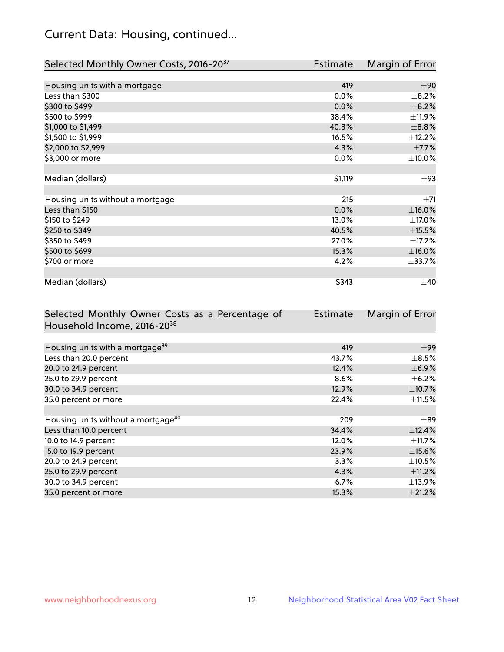# Current Data: Housing, continued...

| Selected Monthly Owner Costs, 2016-20 <sup>37</sup> | <b>Estimate</b> | Margin of Error |
|-----------------------------------------------------|-----------------|-----------------|
|                                                     |                 |                 |
| Housing units with a mortgage                       | 419             | ±90             |
| Less than \$300                                     | 0.0%            | $\pm$ 8.2%      |
| \$300 to \$499                                      | 0.0%            | $\pm$ 8.2%      |
| \$500 to \$999                                      | 38.4%           | ±11.9%          |
| \$1,000 to \$1,499                                  | 40.8%           | $\pm$ 8.8%      |
| \$1,500 to \$1,999                                  | 16.5%           | ±12.2%          |
| \$2,000 to \$2,999                                  | 4.3%            | $\pm$ 7.7%      |
| \$3,000 or more                                     | 0.0%            | $\pm 10.0\%$    |
|                                                     |                 |                 |
| Median (dollars)                                    | \$1,119         | $\pm$ 93        |
|                                                     |                 |                 |
| Housing units without a mortgage                    | 215             | ±71             |
| Less than \$150                                     | 0.0%            | $\pm$ 16.0%     |
| \$150 to \$249                                      | 13.0%           | ±17.0%          |
| \$250 to \$349                                      | 40.5%           | $\pm$ 15.5%     |
| \$350 to \$499                                      | 27.0%           | $\pm$ 17.2%     |
| \$500 to \$699                                      | 15.3%           | $\pm$ 16.0%     |
| \$700 or more                                       | 4.2%            | ±33.7%          |
|                                                     |                 |                 |
| Median (dollars)                                    | \$343           | $\pm 40$        |

| Selected Monthly Owner Costs as a Percentage of | Estimate | Margin of Error |
|-------------------------------------------------|----------|-----------------|
| Household Income, 2016-2038                     |          |                 |
|                                                 |          |                 |
| Housing units with a mortgage <sup>39</sup>     | 419      | $\pm$ 99        |
| Less than 20.0 percent                          | 43.7%    | $\pm$ 8.5%      |
| 20.0 to 24.9 percent                            | 12.4%    | $\pm$ 6.9%      |
| 25.0 to 29.9 percent                            | 8.6%     | $\pm$ 6.2%      |
| 30.0 to 34.9 percent                            | 12.9%    | $\pm$ 10.7%     |
| 35.0 percent or more                            | 22.4%    | $\pm$ 11.5%     |
|                                                 |          |                 |
| Housing units without a mortgage <sup>40</sup>  | 209      | $\pm$ 89        |
| Less than 10.0 percent                          | 34.4%    | $\pm$ 12.4%     |
| 10.0 to 14.9 percent                            | 12.0%    | $\pm$ 11.7%     |
| 15.0 to 19.9 percent                            | 23.9%    | $\pm$ 15.6%     |
| 20.0 to 24.9 percent                            | $3.3\%$  | $\pm$ 10.5%     |
| 25.0 to 29.9 percent                            | 4.3%     | $\pm$ 11.2%     |
| 30.0 to 34.9 percent                            | 6.7%     | $±13.9\%$       |
| 35.0 percent or more                            | 15.3%    | ±21.2%          |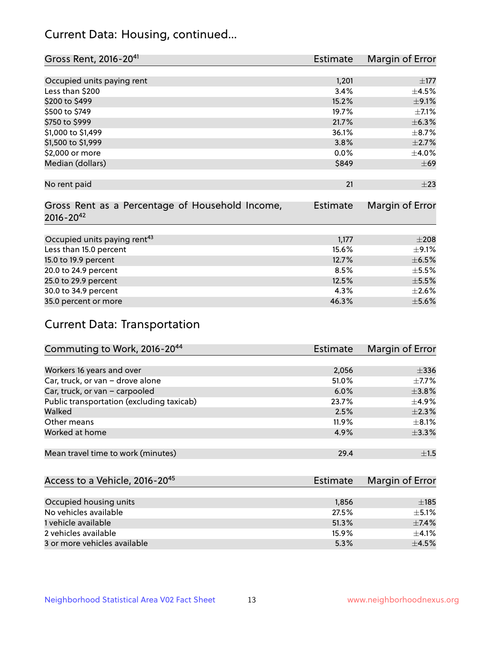# Current Data: Housing, continued...

| Gross Rent, 2016-20 <sup>41</sup>               | <b>Estimate</b> | Margin of Error |
|-------------------------------------------------|-----------------|-----------------|
|                                                 |                 |                 |
| Occupied units paying rent                      | 1,201           | $\pm$ 177       |
| Less than \$200                                 | 3.4%            | $\pm$ 4.5%      |
| \$200 to \$499                                  | 15.2%           | $\pm$ 9.1%      |
| \$500 to \$749                                  | 19.7%           | $\pm$ 7.1%      |
| \$750 to \$999                                  | 21.7%           | ±6.3%           |
| \$1,000 to \$1,499                              | 36.1%           | $\pm$ 8.7%      |
| \$1,500 to \$1,999                              | 3.8%            | $\pm 2.7\%$     |
| \$2,000 or more                                 | 0.0%            | $\pm$ 4.0%      |
| Median (dollars)                                | \$849           | $\pm 69$        |
|                                                 |                 |                 |
| No rent paid                                    | 21              | $\pm 23$        |
|                                                 |                 |                 |
| Gross Rent as a Percentage of Household Income, | <b>Estimate</b> | Margin of Error |
| $2016 - 20^{42}$                                |                 |                 |
|                                                 |                 |                 |
| Occupied units paying rent <sup>43</sup>        | 1,177           | $\pm 208$       |
| Less than 15.0 percent                          | 15.6%           | $\pm$ 9.1%      |
| 15.0 to 19.9 percent                            | 12.7%           | $\pm$ 6.5%      |
| 20.0 to 24.9 percent                            | 8.5%            | $\pm$ 5.5%      |
| 25.0 to 29.9 percent                            | 12.5%           | $\pm$ 5.5%      |
| 30.0 to 34.9 percent                            | 4.3%            | $\pm 2.6\%$     |
| 35.0 percent or more                            | 46.3%           | $\pm$ 5.6%      |

# Current Data: Transportation

| Commuting to Work, 2016-20 <sup>44</sup>  | <b>Estimate</b> | Margin of Error |
|-------------------------------------------|-----------------|-----------------|
|                                           |                 |                 |
| Workers 16 years and over                 | 2,056           | $\pm$ 336       |
| Car, truck, or van - drove alone          | 51.0%           | $\pm$ 7.7%      |
| Car, truck, or van - carpooled            | 6.0%            | $\pm$ 3.8%      |
| Public transportation (excluding taxicab) | 23.7%           | $\pm$ 4.9%      |
| Walked                                    | 2.5%            | $\pm 2.3\%$     |
| Other means                               | 11.9%           | $\pm$ 8.1%      |
| Worked at home                            | 4.9%            | $\pm$ 3.3%      |
|                                           |                 |                 |
| Mean travel time to work (minutes)        | 29.4            | ±1.5            |

| Access to a Vehicle, 2016-20 <sup>45</sup> | <b>Estimate</b> | Margin of Error |
|--------------------------------------------|-----------------|-----------------|
|                                            |                 |                 |
| Occupied housing units                     | 1,856           | $\pm$ 185       |
| No vehicles available                      | 27.5%           | $+5.1%$         |
| 1 vehicle available                        | 51.3%           | ±7.4%           |
| 2 vehicles available                       | 15.9%           | $+4.1%$         |
| 3 or more vehicles available               | 5.3%            | $+4.5%$         |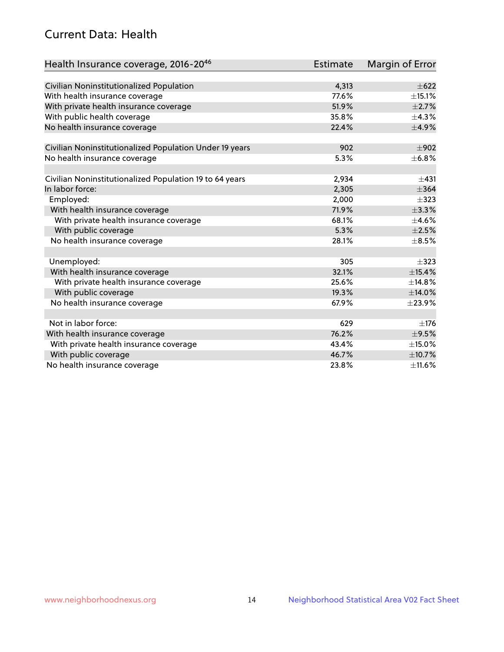# Current Data: Health

| Health Insurance coverage, 2016-2046                    | <b>Estimate</b> | Margin of Error |
|---------------------------------------------------------|-----------------|-----------------|
|                                                         |                 |                 |
| Civilian Noninstitutionalized Population                | 4,313           | $\pm 622$       |
| With health insurance coverage                          | 77.6%           | $\pm$ 15.1%     |
| With private health insurance coverage                  | 51.9%           | $\pm 2.7\%$     |
| With public health coverage                             | 35.8%           | ±4.3%           |
| No health insurance coverage                            | 22.4%           | $\pm$ 4.9%      |
| Civilian Noninstitutionalized Population Under 19 years | 902             | $\pm 902$       |
| No health insurance coverage                            | 5.3%            | ±6.8%           |
|                                                         |                 |                 |
| Civilian Noninstitutionalized Population 19 to 64 years | 2,934           | $\pm 431$       |
| In labor force:                                         | 2,305           | $\pm$ 364       |
| Employed:                                               | 2,000           | $\pm$ 323       |
| With health insurance coverage                          | 71.9%           | ±3.3%           |
| With private health insurance coverage                  | 68.1%           | $\pm$ 4.6%      |
| With public coverage                                    | 5.3%            | $\pm 2.5\%$     |
| No health insurance coverage                            | 28.1%           | $\pm$ 8.5%      |
|                                                         |                 |                 |
| Unemployed:                                             | 305             | $\pm$ 323       |
| With health insurance coverage                          | 32.1%           | ±15.4%          |
| With private health insurance coverage                  | 25.6%           | ±14.8%          |
| With public coverage                                    | 19.3%           | ±14.0%          |
| No health insurance coverage                            | 67.9%           | ±23.9%          |
|                                                         |                 |                 |
| Not in labor force:                                     | 629             | $\pm$ 176       |
| With health insurance coverage                          | 76.2%           | $\pm$ 9.5%      |
| With private health insurance coverage                  | 43.4%           | $\pm$ 15.0%     |
| With public coverage                                    | 46.7%           | $\pm$ 10.7%     |
| No health insurance coverage                            | 23.8%           | $\pm$ 11.6%     |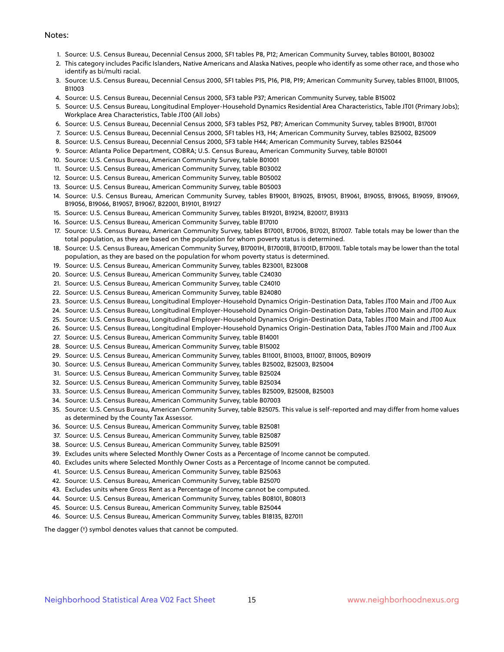#### Notes:

- 1. Source: U.S. Census Bureau, Decennial Census 2000, SF1 tables P8, P12; American Community Survey, tables B01001, B03002
- 2. This category includes Pacific Islanders, Native Americans and Alaska Natives, people who identify as some other race, and those who identify as bi/multi racial.
- 3. Source: U.S. Census Bureau, Decennial Census 2000, SF1 tables P15, P16, P18, P19; American Community Survey, tables B11001, B11005, B11003
- 4. Source: U.S. Census Bureau, Decennial Census 2000, SF3 table P37; American Community Survey, table B15002
- 5. Source: U.S. Census Bureau, Longitudinal Employer-Household Dynamics Residential Area Characteristics, Table JT01 (Primary Jobs); Workplace Area Characteristics, Table JT00 (All Jobs)
- 6. Source: U.S. Census Bureau, Decennial Census 2000, SF3 tables P52, P87; American Community Survey, tables B19001, B17001
- 7. Source: U.S. Census Bureau, Decennial Census 2000, SF1 tables H3, H4; American Community Survey, tables B25002, B25009
- 8. Source: U.S. Census Bureau, Decennial Census 2000, SF3 table H44; American Community Survey, tables B25044
- 9. Source: Atlanta Police Department, COBRA; U.S. Census Bureau, American Community Survey, table B01001
- 10. Source: U.S. Census Bureau, American Community Survey, table B01001
- 11. Source: U.S. Census Bureau, American Community Survey, table B03002
- 12. Source: U.S. Census Bureau, American Community Survey, table B05002
- 13. Source: U.S. Census Bureau, American Community Survey, table B05003
- 14. Source: U.S. Census Bureau, American Community Survey, tables B19001, B19025, B19051, B19061, B19055, B19065, B19059, B19069, B19056, B19066, B19057, B19067, B22001, B19101, B19127
- 15. Source: U.S. Census Bureau, American Community Survey, tables B19201, B19214, B20017, B19313
- 16. Source: U.S. Census Bureau, American Community Survey, table B17010
- 17. Source: U.S. Census Bureau, American Community Survey, tables B17001, B17006, B17021, B17007. Table totals may be lower than the total population, as they are based on the population for whom poverty status is determined.
- 18. Source: U.S. Census Bureau, American Community Survey, B17001H, B17001B, B17001D, B17001I. Table totals may be lower than the total population, as they are based on the population for whom poverty status is determined.
- 19. Source: U.S. Census Bureau, American Community Survey, tables B23001, B23008
- 20. Source: U.S. Census Bureau, American Community Survey, table C24030
- 21. Source: U.S. Census Bureau, American Community Survey, table C24010
- 22. Source: U.S. Census Bureau, American Community Survey, table B24080
- 23. Source: U.S. Census Bureau, Longitudinal Employer-Household Dynamics Origin-Destination Data, Tables JT00 Main and JT00 Aux
- 24. Source: U.S. Census Bureau, Longitudinal Employer-Household Dynamics Origin-Destination Data, Tables JT00 Main and JT00 Aux
- 25. Source: U.S. Census Bureau, Longitudinal Employer-Household Dynamics Origin-Destination Data, Tables JT00 Main and JT00 Aux
- 26. Source: U.S. Census Bureau, Longitudinal Employer-Household Dynamics Origin-Destination Data, Tables JT00 Main and JT00 Aux
- 27. Source: U.S. Census Bureau, American Community Survey, table B14001
- 28. Source: U.S. Census Bureau, American Community Survey, table B15002
- 29. Source: U.S. Census Bureau, American Community Survey, tables B11001, B11003, B11007, B11005, B09019
- 30. Source: U.S. Census Bureau, American Community Survey, tables B25002, B25003, B25004
- 31. Source: U.S. Census Bureau, American Community Survey, table B25024
- 32. Source: U.S. Census Bureau, American Community Survey, table B25034
- 33. Source: U.S. Census Bureau, American Community Survey, tables B25009, B25008, B25003
- 34. Source: U.S. Census Bureau, American Community Survey, table B07003
- 35. Source: U.S. Census Bureau, American Community Survey, table B25075. This value is self-reported and may differ from home values as determined by the County Tax Assessor.
- 36. Source: U.S. Census Bureau, American Community Survey, table B25081
- 37. Source: U.S. Census Bureau, American Community Survey, table B25087
- 38. Source: U.S. Census Bureau, American Community Survey, table B25091
- 39. Excludes units where Selected Monthly Owner Costs as a Percentage of Income cannot be computed.
- 40. Excludes units where Selected Monthly Owner Costs as a Percentage of Income cannot be computed.
- 41. Source: U.S. Census Bureau, American Community Survey, table B25063
- 42. Source: U.S. Census Bureau, American Community Survey, table B25070
- 43. Excludes units where Gross Rent as a Percentage of Income cannot be computed.
- 44. Source: U.S. Census Bureau, American Community Survey, tables B08101, B08013
- 45. Source: U.S. Census Bureau, American Community Survey, table B25044
- 46. Source: U.S. Census Bureau, American Community Survey, tables B18135, B27011

The dagger (†) symbol denotes values that cannot be computed.